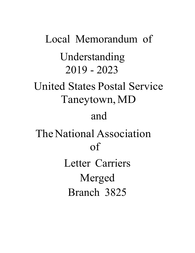Local Memorandum of Understanding 2019 - 2023 United States Postal Service Taneytown, MD and The National Association of Letter Carriers Merged Branch 3825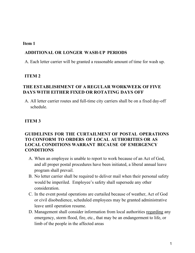### **Item 1**

## **ADDITIONAL OR LONGER WASH-UP PERIODS**

A. Each letter carrier will be granted a reasonable amount of time for wash up.

# **ITEM 2**

# **THE ESTABLISHMENT OF A REGULAR WORKWEEK OF FIVE DAYS WITH EITHER FIXED OR ROTATING DAYS OFF**

A. All letter carrier routes and full-time city carriers shall be on a fixed day-off schedule.

# **ITEM 3**

# **GUIDELINES FOR THE CURTAILMENT OF POSTAL OPERATIONS TO CONFORM TO ORDERS OF LOCAL AUTHORITIES OR AS LOCAL CONDITIONS WARRANT BECAUSE OF EMERGENCY CONDITIONS**

- A. When an employee is unable to report to work because of an Act of God, and all proper postal procedures have been initiated, a liberal annual leave program shall prevail.
- B. No letter carrier shall be required to deliver mail when their personal safety would be imperiled. Employee's safety shall supersede any other consideration.
- C. In the event postal operations are curtailed because of weather, Act of God or civil disobedience, scheduled employees may be granted administrative leave until operation resume.
- D. Management shall consider information from local authorities regarding any emergency, storm flood, fire, etc., that may be an endangerment to life, or limb of the people in the affected areas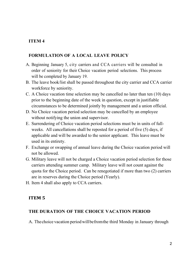# **FORMULATION OF A LOCAL LEAVE POLICY**

- A. Beginning January 5, city carriers and CCA carriers will be consulted in order of seniority for their Choice vacation period selections. This process will be completed by January 19.
- B. The leave book/list shall be passed throughout the city carrier and CCA carrier workforce by seniority.
- C. A Choice vacation time selection may be cancelled no later than ten (10) days prior to the beginning date of the week in question, except in justifiable circumstances to be determined jointly by management and a union official.
- D. No Choice vacation period selection may be cancelled by an employee without notifying the union and supervisor.
- E. Surrendering of Choice vacation period selections must be in units of fullweeks. All cancellations shall be reposted for a period of five (5) days, if applicable and will be awarded to the senior applicant. This leave must be used in its entirety.
- F. Exchange or swapping of annual leave during the Choice vacation period will not be allowed.
- G. Military leave will not be charged a Choice vacation period selection for those carriers attending summer camp. Military leave will not count against the quota for the Choice period. Can be renegotiated if more than two (2) carriers are in reserves during the Choice period (Yearly).
- H. Item 4 shall also apply to CCA carriers.

# **ITEM 5**

# **THE DURATION OF THE CHOICE VACATION PERIOD**

A. Thechoice vacation periodwillbefromthe third Monday in January through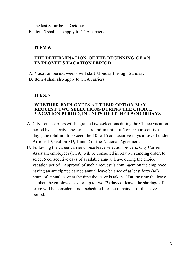the last Saturday in October.

B. Item 5 shall also apply to CCA carriers.

## **ITEM 6**

## **THE DETERMINATION OF THE BEGINNING OF AN EMPLOYEE'S VACATION PERIOD**

- A. Vacation period weeks will start Monday through Sunday.
- B. Item 4 shall also apply to CCA carriers.

## **ITEM 7**

#### **WHETHER EMPLOYEES AT THEIR OPTION MAY REQUEST TWO SELECTIONS DURING THE CHOICE VACATION PERIOD, IN UNITS OF EITHER 5 OR 10 DAYS**

- A. City Letter carriers will be granted two selections during the Choice vacation period by seniority, onepereach round,in units of 5 or 10 consecutive days, the total not to exceed the 10 to 15 consecutive days allowed under Article 10, section 3D, 1 and 2 of the National Agreement.
- B. Following the career carrier choice leave selection process, City Carrier Assistant employees (CCA) will be consulted in relative standing order, to select 5 consecutive days of available annual leave during the choice vacation period. Approval of such a request is contingent on the employee having an anticipated earned annual leave balance of at least forty (40) hours of annual leave at the time the leave is taken. If at the time the leave is taken the employee is short up to two (2) days of leave, the shortage of leave will be considered non-scheduled for the remainder of the leave period.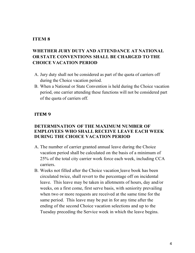# **WHETHER JURY DUTY AND ATTENDANCE AT NATIONAL OR STATE CONVENTIONS SHALL BE CHARGED TO THE CHOICE VACATION PERIOD**

- A. Jury duty shall not be considered as part of the quota of carriers off during the Choice vacation period.
- B. When a National or State Convention is held during the Choice vacation period, one carrier attending these functions will not be considered part of the quota of carriers off.

#### **ITEM 9**

### **DETERMINATION OF THE MAXIMUM NUMBER OF EMPLOYEES WHO SHALL RECEIVE LEAVE EACH WEEK DURING THE CHOICE VACATION PERIOD**

- A. The number of carrier granted annual leave during the Choice vacation period shall be calculated on the basis of a minimum of 25% of the total city carrier work force each week, including CCA carriers.
- B. Weeks not filled after the Choice vacation leave book has been circulated twice, shall revert to the percentage off on incidental leave. This leave may be taken in allotments of hours, day and/or weeks, on a first come, first serve basis, with seniority prevailing when two or more requests are received at the same time for the same period. This leave may be put in for any time after the ending of the second Choice vacation selections and up to the Tuesday preceding the Service week in which the leave begins.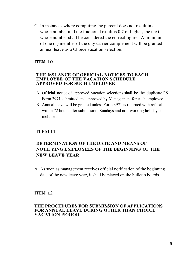C. In instances where computing the percent does not result in a whole number and the fractional result is 0.7 or higher, the next whole number shall be considered the correct figure. A minimum of one (1) member of the city carrier complement will be granted annual leave as a Choice vacation selection.

## **ITEM 10**

#### **THE ISSUANCE OF OFFICIAL NOTICES TO EACH EMPLOYEE OF THE VACATION SCHEDULE APPROVED FOR SUCH EMPLOYEE**

- A. Official notice of approved vacation selections shall be the duplicate PS Form 3971 submitted and approved by Management for each employee.
- B. Annual leave will be granted unless Form 3971 is returned with refusal within 72 hours after submission, Sundays and non-working holidays not included.

### **ITEM 11**

# **DETERMINATION OF THE DATE AND MEANS OF NOTIFYING EMPLOYEES OF THE BEGINNING OF THE NEW LEAVE YEAR**

A. As soon as management receives official notification of the beginning date of the new leave year, it shall be placed on the bulletin boards.

#### **ITEM 12**

#### **THE PROCEDURES FOR SUBMISSION OF APPLICATIONS FOR ANNUAL LEAVE DURING OTHER THAN CHOICE VACATION PERIOD**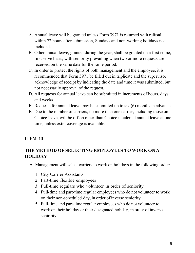- A. Annual leave will be granted unless Form 3971 is returned with refusal within 72 hours after submission, Sundays and non-working holidays not included.
- B. Other annual leave, granted during the year, shall be granted on a first come, first serve basis, with seniority prevailing when two or more requests are received on the same date for the same period.
- C. In order to protect the rights of both management and the employee, it is recommended that Form 3971 be filled out in triplicate and the supervisor acknowledge of receipt by indicating the date and time it was submitted, but not necessarily approval of the request.
- D. All requests for annual leave can be submitted in increments of hours, days and weeks.
- E. Requests for annual leave may be submitted up to six (6) months in advance.
- F. Due to the number of carriers, no more than one carrier, including those on Choice leave, will be off on other-than Choice incidental annual leave at one time, unless extra coverage is available.

# **THE METHOD OF SELECTING EMPLOYEES TO WORK ON A HOLIDAY**

- A. Management will select carriers to work on holidays in the following order:
	- 1. City Carrier Assistants
	- 2. Part-time flexible employees
	- 3. Full-time regulars who volunteer in order of seniority
	- 4. Full-time and part-time regular employees who do not volunteer to work on their non-scheduled day, in order of inverse seniority
	- 5. Full-time and part-time regular employees who do not volunteer to work on their holiday or their designated holiday, in order of inverse seniority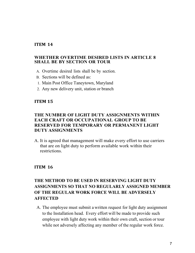#### **WHETHER OVERTIME DESIRED LISTS IN ARTICLE 8 SHALL BE BY SECTION OR TOUR**

- A. Overtime desired lists shall be by section.
- B. Sections will be defined as:
- 1. Main Post Office Taneytown, Maryland
- 2. Any new delivery unit, station or branch

### **ITEM 15**

## **THE NUMBER OF LIGHT DUTY ASSIGNMENTS WITHIN EACH CRAFT OR OCCUPATIONAL GROUP TO BE RESERVED FOR TEMPORARY OR PERMANENT LIGHT DUTY ASSIGNMENTS**

A. It is agreed that management will make every effort to use carriers that are on light duty to perform available work within their restrictions.

#### **ITEM 16**

# **THE METHOD TO BE USED IN RESERVING LIGHT DUTY ASSIGNMENTS SO THAT NO REGULARLY ASSIGNED MEMBER OF THE REGULAR WORK FORCE WILL BE ADVERSELY AFFECTED**

A. The employee must submit a written request for light duty assignment to the Installation head. Every effort will be made to provide such employee with light duty work within their own craft, section or tour while not adversely affecting any member of the regular work force.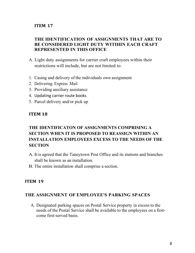# **THE IDENTIFICATION OF ASSIGNMENTS THAT ARE TO BE CONSIDERED LIGHT DUTY WITIHIN EACH CRAFT REPRESENTED IN THIS OFFICE**

- A. Light duty assignments for carrier craft employees within their restrictions will include, but are not limited to:
- 1. Casing and delivery of the individuals own assignment
- 2. Delivering Express Mail
- 3. Providing auxiliary assistance
- 4. Updating carrier route books
- 5. Parcel delivery and/or pick up

### **ITEM 18**

# **THE IDENTIFICATON OF ASSIGNMENTS COMPRISING A SECTION WHEN IT IS PROPOSED TO REASSIGN WITHIN AN INSTALLATION EMPLOYEES EXCESS TO THE NEEDS OF THE SECTION**

- A.Itis agreed that the Taneytown Post Office and its stations and branches shall be known as an installation.
- B. The entire installation shall comprise a section.

### **ITEM 19**

### **THE ASSIGNMENT OF EMPLOYEE'S PARKING SPACES**

A. Designated parking spaces on Postal Service property in excess to the needs of the Postal Service shall be available to the employees on a firstcome first-served basis.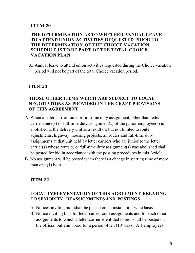## **THE DETERMINATION AS TO WHETHER ANNUAL LEAVE TO ATTEND UNION ACTIVITIES REQUESTED PRIOR TO THE DETERMINATION OF THE CHOICE VACATION SCHEDULE IS TO BE PART OF THE TOTAL CHOICE VACATION PLAN**

A. Annual leave to attend union activities requested during the Choice vacation period will not be part of the total Choice vacation period.

### **ITEM 21**

## **THOSE OTHER ITEMS WHICH ARE SUBJECT TO LOCAL NEGOTIATIONS AS PROVIDED IN THE CRAFT PROVISIONS OF THIS AGREEMENT**

- A. When a letter carrier route or full-time duty assignment, other than letter carrier route(s) or full-time duty assignment(s) of the junior employee(s) is abolished at the delivery unit as a result of, but not limited to route adjustments, highway, housing projects, all routes and full-time duty assignments at that unit held by letter carriers who are junior to the letter carrier(s) whose route(s) or full-time duty assignment(s) was abolished shall be posted for bid in accordance with the posting procedures in this Article.
- B. No assignment will be posted when there is a change in starting time of more than one (1) hour.

#### **ITEM 22**

# **LOCAL IMPLEMENTATION OF THIS AGREEMENT RELATING TO SENIORITY, REASSIGNMENTS AND POSTINGS**

- A. Notices inviting bids shall be posted on an installation-wide basis.
- B. Notice inviting bids for letter carrier craft assignments and for such other assignments to which a letter carrier is entitled to bid, shall be posted on the official bulletin board for a period of ten (10) days. All employees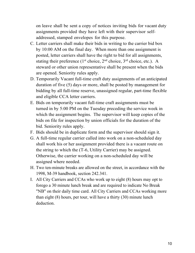on leave shall be sent a copy of notices inviting bids for vacant duty assignments provided they have left with their supervisor selfaddressed, stamped envelopes for this purpose.

- C. Letter carriers shall make their bids in writing to the carrier bid box by 10:00 AM on the final day. When more than one assignment is posted, letter carriers shall have the right to bid for all assignments, stating their preference  $(1<sup>st</sup> choice, 2<sup>nd</sup> choice, 3<sup>rd</sup> choice, etc.).$  A steward or other union representative shall be present when the bids are opened. Seniority rules apply.
- D. Temporarily Vacant full-time craft duty assignments of an anticipated duration of five (5) days or more, shall be posted by management for bidding by all full-time reserve, unassigned regular, part-time flexible and eligible CCA letter carriers.
- E. Bids on temporarily vacant full-time craft assignments must be turned in by 5:00 PM on the Tuesday preceding the service week in which the assignment begins. The supervisor will keep copies of the bids on file for inspection by union officials for the duration of the bid. Seniority rules apply.
- F. Bids should be in duplicate form and the supervisor should sign it.
- G. A full-time regular carrier called into work on a non-scheduled day shall work his or her assignment provided there is a vacant route on the string to which the (T-6, Utility Carrier) may be assigned. Otherwise, the carrier working on a non-scheduled day will be assigned where needed.
- H. Two ten-minute breaks are allowed on the street, in accordance with the 1998, M-39 handbook, section 242.341.
- I. All City Carriers and CCAs who work up to eight (8) hours may opt to forego a 30 minute lunch break and are required to indicate No Break "NB" on their daily time card. All City Carriers and CCAs working more than eight (8) hours, per tour, will have a thirty (30) minute lunch deduction.